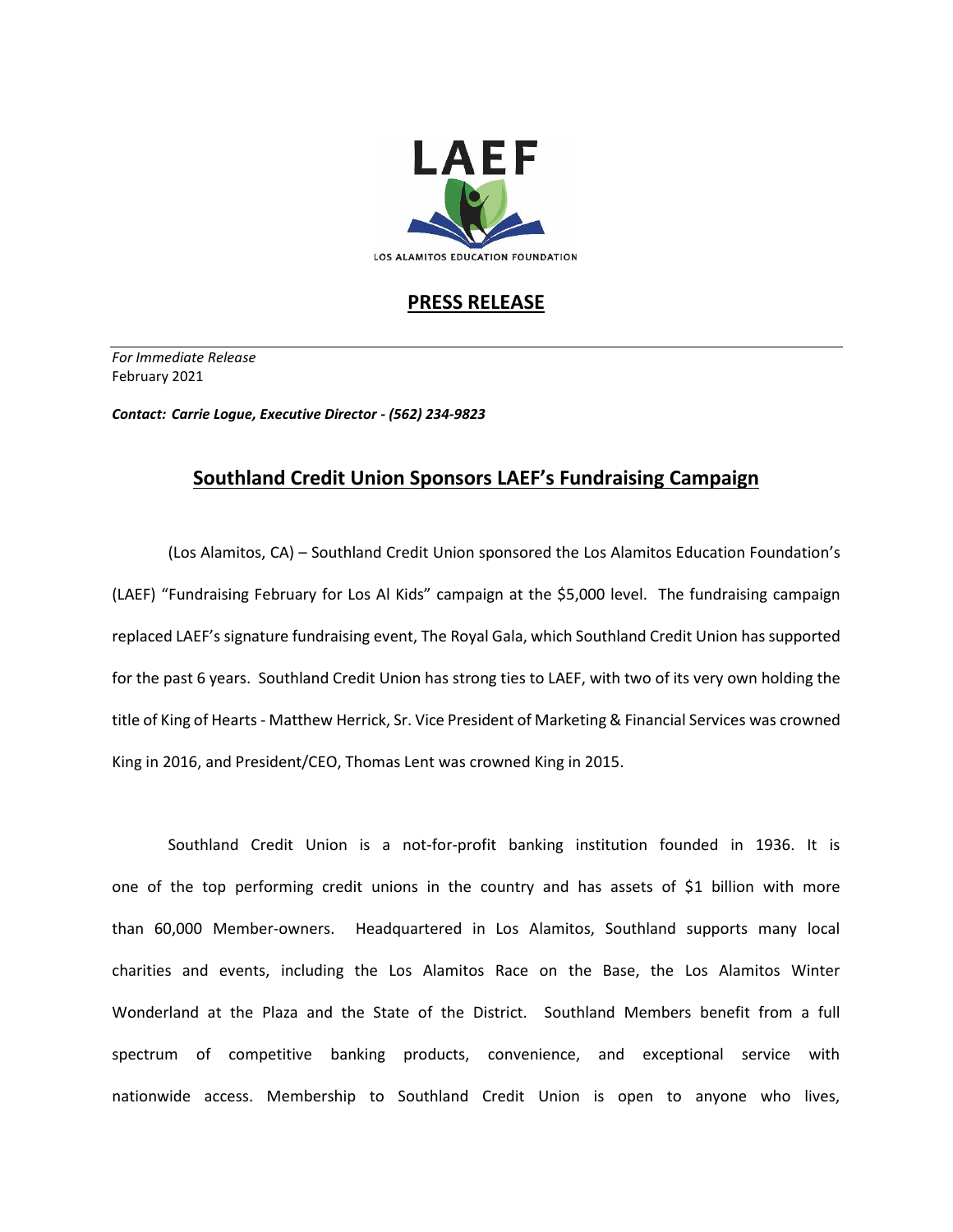

## **PRESS RELEASE**

*For Immediate Release*  February 2021

*Contact: Carrie Logue, Executive Director - (562) 234-9823*

## **Southland Credit Union Sponsors LAEF's Fundraising Campaign**

(Los Alamitos, CA) – Southland Credit Union sponsored the Los Alamitos Education Foundation's (LAEF) "Fundraising February for Los Al Kids" campaign at the \$5,000 level. The fundraising campaign replaced LAEF's signature fundraising event, The Royal Gala, which Southland Credit Union has supported for the past 6 years. Southland Credit Union has strong ties to LAEF, with two of its very own holding the title of King of Hearts - Matthew Herrick, Sr. Vice President of Marketing & Financial Services was crowned King in 2016, and President/CEO, Thomas Lent was crowned King in 2015.

Southland Credit Union is a not-for-profit banking institution founded in 1936. It is one of the top performing credit unions in the country and has assets of \$1 billion with more than 60,000 Member-owners. Headquartered in Los Alamitos, Southland supports many local charities and events, including the Los Alamitos Race on the Base, the Los Alamitos Winter Wonderland at the Plaza and the State of the District. Southland Members benefit from a full spectrum of competitive banking products, convenience, and exceptional service with nationwide access. Membership to Southland Credit Union is open to anyone who lives,